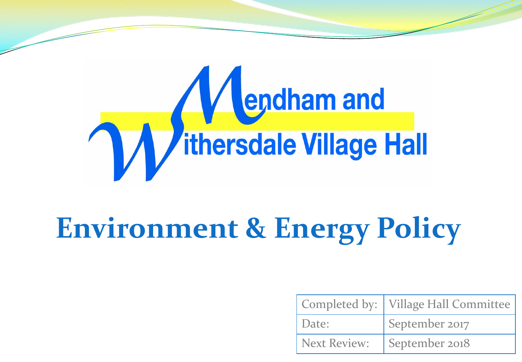

## **Environment & Energy Policy**

|                     | Completed by:   Village Hall Committee |
|---------------------|----------------------------------------|
| Date:               | September 2017                         |
| <b>Next Review:</b> | September 2018                         |